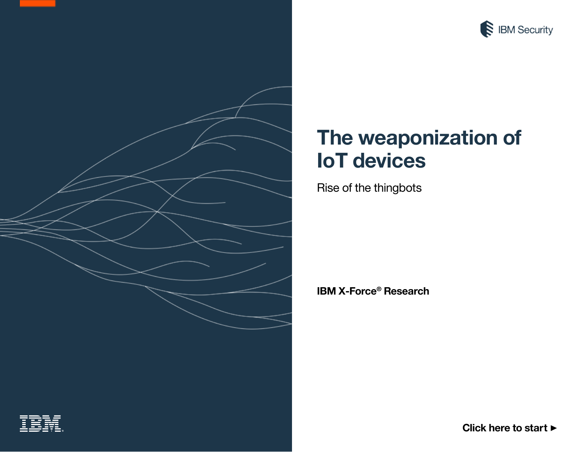

# <span id="page-0-0"></span>**The weaponization of IoT devices**

Rise of the thingbots

**IBM X-Force® Research**



**[Click here to start](#page-1-0)** ▶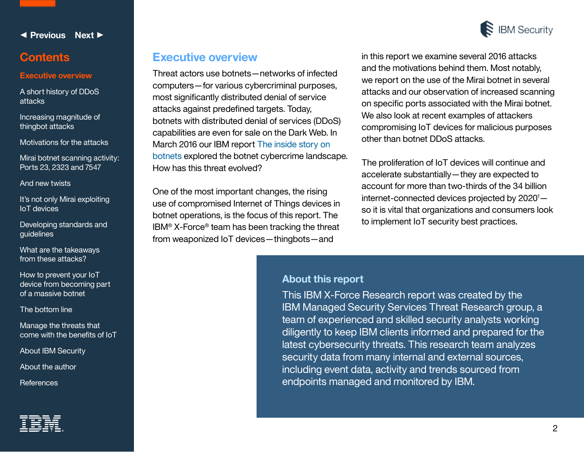<span id="page-1-0"></span>

#### **Executive overview**

[A short history of DDoS](#page-2-0)  attacks

[Increasing magnitude of](#page-4-0)  thingbot attacks

[Motivations for the attacks](#page-6-0)

[Mirai botnet scanning activity:](#page-7-0)  Ports 23, 2323 and 7547

[And new twists](#page-11-0)

[It's not only Mirai exploiting](#page-11-0)  IoT devices

[Developing standards and](#page-13-0)  guidelines

[What are the takeaways](#page-14-0)  from these attacks?

How to prevent your IoT [device from becoming part](#page-15-0)  of a massive botnet

[The bottom line](#page-16-0)

Manage the threats that [come with the benefits of IoT](#page-16-0)

[About IBM Security](#page-16-0)

[About the author](#page-17-0) 

**[References](#page-18-0)** 



### **Executive overview**

Threat actors use botnets—networks of infected computers—for various cybercriminal purposes, most significantly distributed denial of service attacks against predefined targets. Today, botnets with distributed denial of services (DDoS) capabilities are even for sale on the Dark Web. In March 2016 our IBM report [The inside story on](https://www.ibm.com/marketing/iwm/dre/signup?source=mrs-form-7767&S_PKG=ov47239)  [botnets](https://www.ibm.com/marketing/iwm/dre/signup?source=mrs-form-7767&S_PKG=ov47239) explored the botnet cybercrime landscape. How has this threat evolved?

One of the most important changes, the rising use of compromised Internet of Things devices in botnet operations, is the focus of this report. The IBM® X-Force® team has been tracking the threat from weaponized IoT devices—thingbots—and

in this report we examine several 2016 attacks and the motivations behind them. Most notably, we report on the use of the Mirai botnet in several attacks and our observation of increased scanning on specific ports associated with the Mirai botnet. We also look at recent examples of attackers compromising IoT devices for malicious purposes other than botnet DDoS attacks.

The proliferation of IoT devices will continue and accelerate substantially—they are expected to account for more than two-thirds of the 34 billion internet-connected devices projected by 2020<sup>1</sup>so it is vital that organizations and consumers look to implement IoT security best practices.

#### **About this report**

This IBM X-Force Research report was created by the IBM Managed Security Services Threat Research group, a team of experienced and skilled security analysts working diligently to keep IBM clients informed and prepared for the latest cybersecurity threats. This research team analyzes security data from many internal and external sources, including event data, activity and trends sourced from endpoints managed and monitored by IBM.



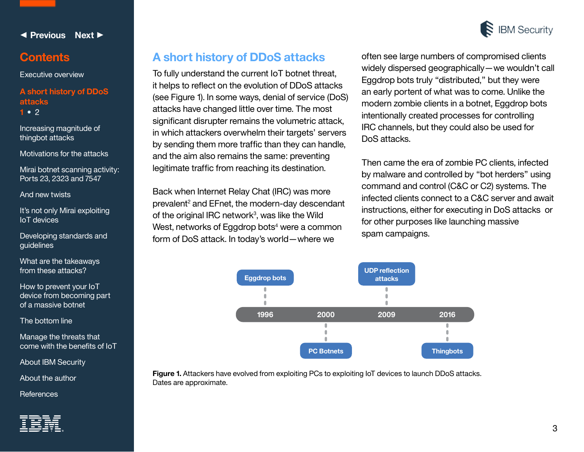<span id="page-2-0"></span>

[Executive overview](#page-1-0)

**A short history of DDoS attacks 1 •** [2](#page-3-0)

[Increasing magnitude of](#page-4-0)  thingbot attacks

[Motivations for the attacks](#page-6-0)

[Mirai botnet scanning activity:](#page-7-0)  Ports 23, 2323 and 7547

[And new twists](#page-11-0)

[It's not only Mirai exploiting](#page-11-0)  IoT devices

[Developing standards and](#page-13-0)  guidelines

[What are the takeaways](#page-14-0)  from these attacks?

How to prevent your IoT [device from becoming part](#page-15-0)  of a massive botnet

[The bottom line](#page-16-0)

Manage the threats that [come with the benefits of IoT](#page-16-0)

[About IBM Security](#page-16-0)

[About the author](#page-17-0) 

**[References](#page-18-0)** 



# **A short history of DDoS attacks**

To fully understand the current IoT botnet threat, it helps to reflect on the evolution of DDoS attacks (see Figure 1). In some ways, denial of service (DoS) attacks have changed little over time. The most significant disrupter remains the volumetric attack, in which attackers overwhelm their targets' servers by sending them more traffic than they can handle, and the aim also remains the same: preventing legitimate traffic from reaching its destination.

Back when Internet Relay Chat (IRC) was more prevalent<sup>2</sup> and EFnet, the modern-day descendant of the original IRC network<sup>3</sup>, was like the Wild West, networks of Eggdrop bots<sup>4</sup> were a common form of DoS attack. In today's world—where we

often see large numbers of compromised clients widely dispersed geographically—we wouldn't call Eggdrop bots truly "distributed," but they were an early portent of what was to come. Unlike the modern zombie clients in a botnet, Eggdrop bots intentionally created processes for controlling IRC channels, but they could also be used for DoS attacks.

Then came the era of zombie PC clients, infected by malware and controlled by "bot herders" using command and control (C&C or C2) systems. The infected clients connect to a C&C server and await instructions, either for executing in DoS attacks or for other purposes like launching massive spam campaigns.



**Figure 1.** Attackers have evolved from exploiting PCs to exploiting IoT devices to launch DDoS attacks. Dates are approximate.

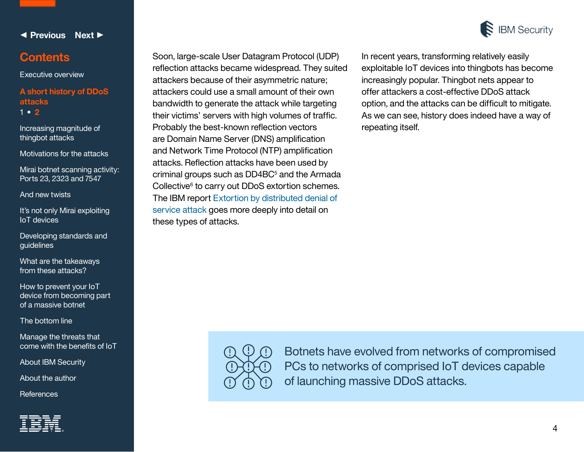<span id="page-3-0"></span>

[Executive overview](#page-1-0)

#### **[A short history of DDoS](#page-2-0)  attacks**  [1](#page-2-0) **• 2**

[Increasing magnitude of](#page-4-0)  thingbot attacks

[Motivations for the attacks](#page-6-0)

[Mirai botnet scanning activity:](#page-7-0)  Ports 23, 2323 and 7547

[And new twists](#page-11-0)

[It's not only Mirai exploiting](#page-11-0)  IoT devices

[Developing standards and](#page-13-0)  guidelines

[What are the takeaways](#page-14-0)  from these attacks?

How to prevent your IoT [device from becoming part](#page-15-0)  of a massive botnet

[The bottom line](#page-16-0)

Manage the threats that [come with the benefits of IoT](#page-16-0)

[About IBM Security](#page-16-0)

[About the author](#page-17-0) 

**[References](#page-18-0)** 



Soon, large-scale User Datagram Protocol (UDP) reflection attacks became widespread. They suited attackers because of their asymmetric nature; attackers could use a small amount of their own bandwidth to generate the attack while targeting their victims' servers with high volumes of traffic. Probably the best-known reflection vectors are Domain Name Server (DNS) amplification and Network Time Protocol (NTP) amplification attacks. Reflection attacks have been used by criminal groups such as DD4BC<sup>5</sup> and the Armada Collective<sup>6</sup> to carry out DDoS extortion schemes. The IBM report [Extortion by distributed denial of](https://www.ibm.com/marketing/iwm/dre/signup?source=mrs-form-4565&S_PKG=ov38290)  [service attack](https://www.ibm.com/marketing/iwm/dre/signup?source=mrs-form-4565&S_PKG=ov38290) goes more deeply into detail on these types of attacks.



In recent years, transforming relatively easily exploitable IoT devices into thingbots has become increasingly popular. Thingbot nets appear to offer attackers a cost-effective DDoS attack option, and the attacks can be difficult to mitigate. As we can see, history does indeed have a way of repeating itself.



Botnets have evolved from networks of compromised PCs to networks of comprised IoT devices capable of launching massive DDoS attacks.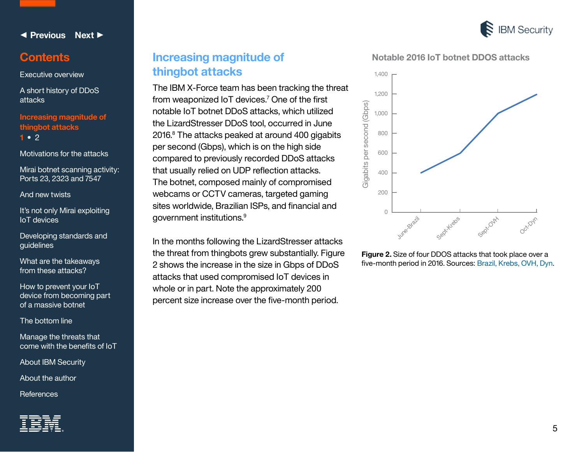

### <span id="page-4-0"></span>**Contents**

[Executive overview](#page-1-0)

[A short history of DDoS](#page-2-0)  attacks

**Increasing magnitude of thingbot attacks 1 •** [2](#page-5-0)

[Motivations for the attacks](#page-6-0)

[Mirai botnet scanning activity:](#page-7-0)  Ports 23, 2323 and 7547

[And new twists](#page-11-0)

It's not only Mirai exploiting IoT devices

[Developing standards and](#page-13-0)  guidelines

[What are the takeaways](#page-14-0)  from these attacks?

How to prevent your IoT [device from becoming part](#page-15-0)  of a massive botnet

[The bottom line](#page-16-0)

Manage the threats that [come with the benefits of IoT](#page-16-0)

[About IBM Security](#page-16-0)

[About the author](#page-17-0) 

**[References](#page-18-0)** 



# **Increasing magnitude of thingbot attacks**

The IBM X-Force team has been tracking the threat from weaponized IoT devices.<sup>7</sup> One of the first notable IoT botnet DDoS attacks, which utilized the LizardStresser DDoS tool, occurred in June 2016.<sup>8</sup> The attacks peaked at around 400 gigabits per second (Gbps), which is on the high side compared to previously recorded DDoS attacks that usually relied on UDP reflection attacks. The botnet, composed mainly of compromised webcams or CCTV cameras, targeted gaming sites worldwide, Brazilian ISPs, and financial and government institutions.<sup>9</sup>

In the months following the LizardStresser attacks the threat from thingbots grew substantially. Figure 2 shows the increase in the size in Gbps of DDoS attacks that used compromised IoT devices in whole or in part. Note the approximately 200 percent size increase over the five-month period.

**Notable 2016 IoT botnet DDOS attacks**



**Figure 2.** Size of four DDOS attacks that took place over a five-month period in 2016. Sources: [Brazil](https://www.arbornetworks.com/blog/asert/lizard-brain-lizardstresser/), [Krebs](https://krebsonsecurity.com/2016/09/krebsonsecurity-hit-with-record-ddos/), [OVH](https://twitter.com/olesovhcom/status/779297257199964160), [Dyn](https://securityintelligence.com/lessons-from-the-dyn-ddos-attack/).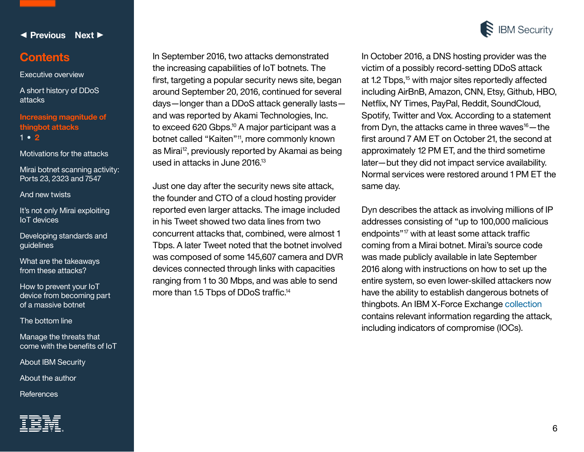

#### <span id="page-5-0"></span>**Contents**

[Executive overview](#page-1-0)

[A short history of DDoS](#page-2-0)  attacks

**[Increasing magnitude of](#page-4-0)  thingbot attacks** [1](#page-4-0) **• 2**

[Motivations for the attacks](#page-6-0)

[Mirai botnet scanning activity:](#page-7-0)  Ports 23, 2323 and 7547

[And new twists](#page-11-0)

[It's not only Mirai exploiting](#page-11-0)  IoT devices

[Developing standards and](#page-13-0)  guidelines

[What are the takeaways](#page-14-0)  from these attacks?

How to prevent your IoT [device from becoming part](#page-15-0)  of a massive botnet

[The bottom line](#page-16-0)

Manage the threats that [come with the benefits of IoT](#page-16-0)

[About IBM Security](#page-16-0)

[About the author](#page-17-0) 

**[References](#page-18-0)** 



In September 2016, two attacks demonstrated the increasing capabilities of IoT botnets. The first, targeting a popular security news site, began around September 20, 2016, continued for several days—longer than a DDoS attack generally lasts and was reported by Akami Technologies, Inc. to exceed 620 Gbps.<sup>10</sup> A major participant was a botnet called "Kaiten"11, more commonly known as Mirai<sup>12</sup>, previously reported by Akamai as being used in attacks in June 2016.<sup>13</sup>

Just one day after the security news site attack, the founder and CTO of a cloud hosting provider reported even larger attacks. The image included in his Tweet showed two data lines from two concurrent attacks that, combined, were almost 1 Tbps. A later Tweet noted that the botnet involved was composed of some 145,607 camera and DVR devices connected through links with capacities ranging from 1 to 30 Mbps, and was able to send more than 1.5 Tbps of DDoS traffic.<sup>14</sup>

In October 2016, a DNS hosting provider was the victim of a possibly record-setting DDoS attack at 1.2 Tbps,<sup>15</sup> with major sites reportedly affected including AirBnB, Amazon, CNN, Etsy, Github, HBO, Netflix, NY Times, PayPal, Reddit, SoundCloud, Spotify, Twitter and Vox. According to a statement from Dyn, the attacks came in three waves $16$  – the first around 7 AM ET on October 21, the second at approximately 12 PM ET, and the third sometime later—but they did not impact service availability. Normal services were restored around 1 PM ET the same day.

Dyn describes the attack as involving millions of IP addresses consisting of "up to 100,000 malicious endpoints"17 with at least some attack traffic coming from a Mirai botnet. Mirai's source code was made publicly available in late September 2016 along with instructions on how to set up the entire system, so even lower-skilled attackers now have the ability to establish dangerous botnets of thingbots. An IBM X-Force Exchange [collection](https://exchange.xforce.ibmcloud.com/collection/Dyn-DNS-DDoS-Attack-5d97bf830ca4c3f5e1c960b26919697d) contains relevant information regarding the attack, including indicators of compromise (IOCs).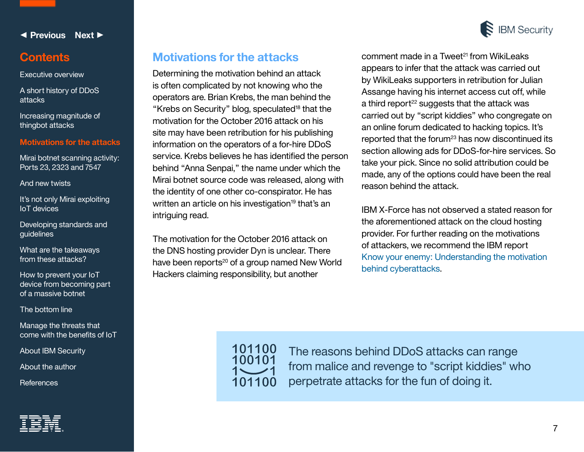

### <span id="page-6-0"></span>**Contents**

[Executive overview](#page-1-0)

[A short history of DDoS](#page-2-0)  attacks

[Increasing magnitude of](#page-4-0)  thingbot attacks

#### **Motivations for the attacks**

[Mirai botnet scanning activity:](#page-7-0)  Ports 23, 2323 and 7547

[And new twists](#page-11-0)

[It's not only Mirai exploiting](#page-11-0)  IoT devices

[Developing standards and](#page-13-0)  guidelines

[What are the takeaways](#page-14-0)  from these attacks?

How to prevent your loT [device from becoming part](#page-15-0)  of a massive botnet

[The bottom line](#page-16-0)

Manage the threats that [come with the benefits of IoT](#page-16-0)

[About IBM Security](#page-16-0)

[About the author](#page-17-0) 

**[References](#page-18-0)** 

# **Motivations for the attacks**

Determining the motivation behind an attack is often complicated by not knowing who the operators are. Brian Krebs, the man behind the "Krebs on Security" blog, speculated $18$  that the motivation for the October 2016 attack on his site may have been retribution for his publishing information on the operators of a for-hire DDoS service. Krebs believes he has identified the person behind "Anna Senpai," the name under which the Mirai botnet source code was released, along with the identity of one other co-conspirator. He has written an article on his investigation<sup>19</sup> that's an intriguing read.

The motivation for the October 2016 attack on the DNS hosting provider Dyn is unclear. There have been reports<sup>20</sup> of a group named New World Hackers claiming responsibility, but another

comment made in a Tweet<sup>21</sup> from WikiLeaks appears to infer that the attack was carried out by WikiLeaks supporters in retribution for Julian Assange having his internet access cut off, while a third report<sup>22</sup> suggests that the attack was carried out by "script kiddies" who congregate on an online forum dedicated to hacking topics. It's reported that the forum $^{23}$  has now discontinued its section allowing ads for DDoS-for-hire services. So take your pick. Since no solid attribution could be made, any of the options could have been the real reason behind the attack.

IBM X-Force has not observed a stated reason for the aforementioned attack on the cloud hosting provider. For further reading on the motivations of attackers, we recommend the IBM report [Know your enemy: Understanding the motivation](https://www-01.ibm.com/marketing/iwm/dre/signup?source=mrs-form-7768&S_PKG=ov47531)  [behind cyberattacks](https://www-01.ibm.com/marketing/iwm/dre/signup?source=mrs-form-7768&S_PKG=ov47531).



The reasons behind DDoS attacks can range from malice and revenge to "script kiddies" who perpetrate attacks for the fun of doing it.



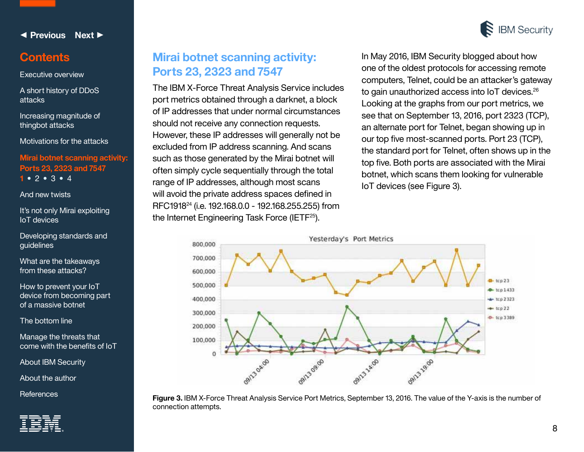

### <span id="page-7-0"></span>**Contents**

[Executive overview](#page-1-0)

[A short history of DDoS](#page-2-0) attacks

[Increasing magnitude of](#page-4-0)  thingbot attacks

[Motivations for the attacks](#page-6-0)

**Mirai botnet scanning activity: Ports 23, 2323 and 7547 1 •** [2](#page-8-0) **•** [3](#page-9-0) **•** [4](#page-10-0)

[And new twists](#page-11-0)

[It's not only Mirai exploiting](#page-11-0)  IoT devices

[Developing standards and](#page-13-0)  guidelines

[What are the takeaways](#page-14-0)  from these attacks?

How to prevent your IoT [device from becoming part](#page-15-0)  of a massive botnet

[The bottom line](#page-16-0)

Manage the threats that [come with the benefits of IoT](#page-16-0)

[About IBM Security](#page-16-0)

[About the author](#page-17-0) 



# **Mirai botnet scanning activity: Ports 23, 2323 and 7547**

The IBM X-Force Threat Analysis Service includes port metrics obtained through a darknet, a block of IP addresses that under normal circumstances should not receive any connection requests. However, these IP addresses will generally not be excluded from IP address scanning. And scans such as those generated by the Mirai botnet will often simply cycle sequentially through the total range of IP addresses, although most scans will avoid the private address spaces defined in RFC191824 (i.e. 192.168.0.0 - 192.168.255.255) from the Internet Engineering Task Force (IETF25).

In May 2016, IBM Security blogged about how one of the oldest protocols for accessing remote computers, Telnet, could be an attacker's gateway to gain unauthorized access into IoT devices.<sup>26</sup> Looking at the graphs from our port metrics, we see that on September 13, 2016, port 2323 (TCP), an alternate port for Telnet, began showing up in our top five most-scanned ports. Port 23 (TCP), the standard port for Telnet, often shows up in the top five. Both ports are associated with the Mirai botnet, which scans them looking for vulnerable IoT devices (see Figure 3).



[References](#page-18-0) **Figure 3.** IBM X-Force Threat Analysis Service Port Metrics, September 13, 2016. The value of the Y-axis is the number of connection attempts.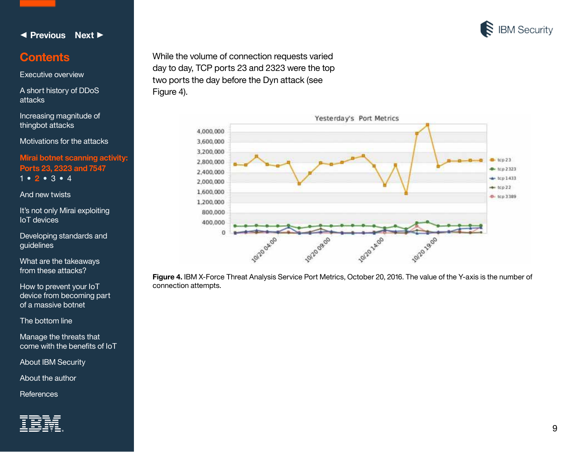

### <span id="page-8-0"></span>**Contents**

[Executive overview](#page-1-0)

[A short history of DDoS](#page-2-0) attacks

[Increasing magnitude of](#page-4-0)  thingbot attacks

[Motivations for the attacks](#page-6-0)

**[Mirai botnet scanning activity:](#page-7-0)  Ports 23, 2323 and 7547** [1](#page-7-0) **• 2 •** [3](#page-9-0) **•** [4](#page-10-0)

[And new twists](#page-11-0)

It's not only Mirai exploiting IoT devices

[Developing standards and](#page-13-0)  guidelines

[What are the takeaways](#page-14-0)  from these attacks?

How to prevent your IoT [device from becoming part](#page-15-0)  of a massive botnet

[The bottom line](#page-16-0)

Manage the threats that [come with the benefits of IoT](#page-16-0)

[About IBM Security](#page-16-0)

[About the author](#page-17-0) 

**[References](#page-18-0)** 



While the volume of connection requests varied day to day, TCP ports 23 and 2323 were the top two ports the day before the Dyn attack (see Figure 4).



**Figure 4.** IBM X-Force Threat Analysis Service Port Metrics, October 20, 2016. The value of the Y-axis is the number of connection attempts.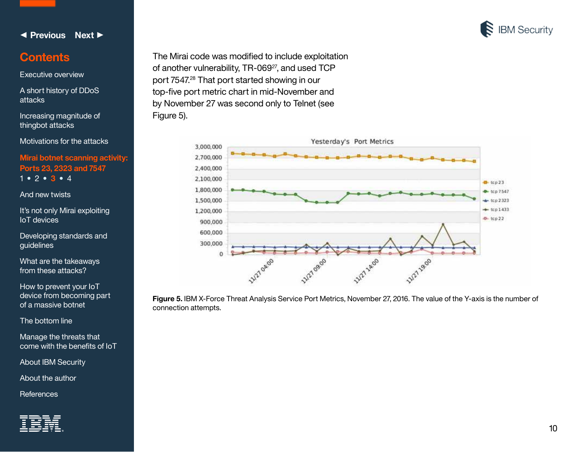

### <span id="page-9-0"></span>**Contents**

[Executive overview](#page-1-0)

[A short history of DDoS](#page-2-0) attacks

[Increasing magnitude of](#page-4-0)  thingbot attacks

[Motivations for the attacks](#page-6-0)

**[Mirai botnet scanning activity:](#page-7-0)  Ports 23, 2323 and 7547** [1](#page-7-0) **•** 2 **[•](#page-8-0) 3 •** [4](#page-10-0)

[And new twists](#page-11-0)

It's not only Mirai exploiting IoT devices

[Developing standards and](#page-13-0)  guidelines

[What are the takeaways](#page-14-0)  from these attacks?

How to prevent your IoT [device from becoming part](#page-15-0)  of a massive botnet

[The bottom line](#page-16-0)

Manage the threats that [come with the benefits of IoT](#page-16-0)

[About IBM Security](#page-16-0)

[About the author](#page-17-0) 

**[References](#page-18-0)** 



The Mirai code was modified to include exploitation of another vulnerability, TR-069<sup>27</sup>, and used TCP port 7547.28 That port started showing in our top-five port metric chart in mid-November and by November 27 was second only to Telnet (see Figure 5).



**Figure 5.** IBM X-Force Threat Analysis Service Port Metrics, November 27, 2016. The value of the Y-axis is the number of connection attempts.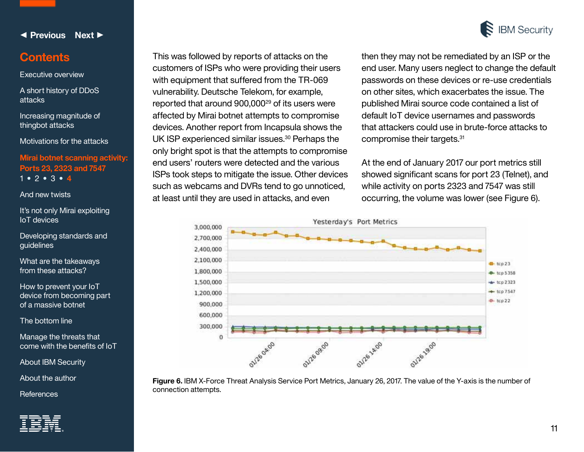

11

<span id="page-10-0"></span>◀ **[Previous](#page-9-0) [Next](#page-11-0)** ▶

## **Contents**

[Executive overview](#page-1-0)

[A short history of DDoS](#page-2-0) attacks

[Increasing magnitude of](#page-4-0)  thingbot attacks

[Motivations for the attacks](#page-6-0)

**[Mirai botnet scanning activity:](#page-7-0)  Ports 23, 2323 and 7547** [1](#page-7-0) **•** 2 **[•](#page-8-0)** [3](#page-9-0) **• 4**

[And new twists](#page-11-0)

[It's not only Mirai exploiting](#page-11-0)  IoT devices

[Developing standards and](#page-13-0)  guidelines

[What are the takeaways](#page-14-0)  from these attacks?

How to prevent your IoT [device from becoming part](#page-15-0)  of a massive botnet

[The bottom line](#page-16-0)

Manage the threats that [come with the benefits of IoT](#page-16-0)

[About IBM Security](#page-16-0)

[About the author](#page-17-0) 

**[References](#page-18-0)** 



This was followed by reports of attacks on the customers of ISPs who were providing their users with equipment that suffered from the TR-069 vulnerability. Deutsche Telekom, for example, reported that around 900,00029 of its users were affected by Mirai botnet attempts to compromise devices. Another report from Incapsula shows the UK ISP experienced similar issues.30 Perhaps the only bright spot is that the attempts to compromise end users' routers were detected and the various ISPs took steps to mitigate the issue. Other devices such as webcams and DVRs tend to go unnoticed, at least until they are used in attacks, and even

**Figure 6.** IBM X-Force Threat Analysis Service Port Metrics, January 26, 2017. The value of the Y-axis is the number of connection attempts.

then they may not be remediated by an ISP or the end user. Many users neglect to change the default passwords on these devices or re-use credentials on other sites, which exacerbates the issue. The published Mirai source code contained a list of default IoT device usernames and passwords that attackers could use in brute-force attacks to compromise their targets.<sup>31</sup>

At the end of January 2017 our port metrics still showed significant scans for port 23 (Telnet), and while activity on ports 2323 and 7547 was still occurring, the volume was lower (see Figure 6).

**IBM Security**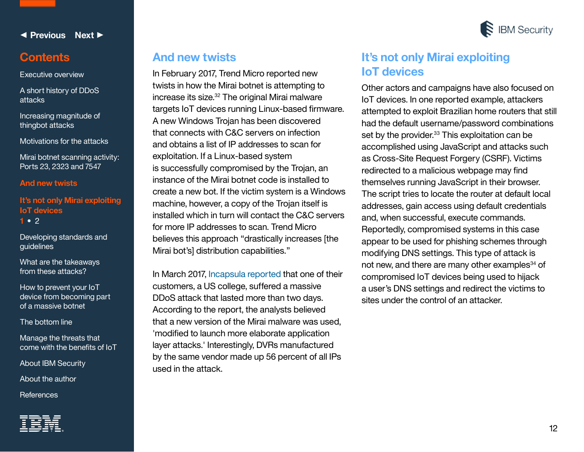<span id="page-11-0"></span>

[Executive overview](#page-1-0)

[A short history of DDoS](#page-2-0)  attacks

[Increasing magnitude of](#page-4-0)  thingbot attacks

[Motivations for the attacks](#page-6-0)

[Mirai botnet scanning activity:](#page-7-0)  Ports 23, 2323 and 7547

#### **And new twists**

**It's not only Mirai explo IoT devices 1 •** [2](#page-12-0)

[Developing standards and](#page-13-0)  guidelines

[What are the takeaways](#page-14-0)  from these attacks?

How to prevent your IoT [device from becoming part](#page-15-0)  of a massive botnet

[The bottom line](#page-16-0)

Manage the threats that [come with the benefits of IoT](#page-16-0)

[About IBM Security](#page-16-0)

[About the author](#page-17-0) 

**[References](#page-18-0)** 



### **And new twists**

In February 2017, Trend Micro reported new twists in how the Mirai botnet is attempting to increase its size.32 The original Mirai malware targets IoT devices running Linux-based firmware. A new Windows Trojan has been discovered that connects with C&C servers on infection and obtains a list of IP addresses to scan for exploitation. If a Linux-based system is successfully compromised by the Trojan, an instance of the Mirai botnet code is installed to create a new bot. If the victim system is a Windows machine, however, a copy of the Trojan itself is installed which in turn will contact the C&C servers for more IP addresses to scan. Trend Micro believes this approach "drastically increases [the Mirai bot's] distribution capabilities."

In March 2017, [Incapsula reported](https://www.incapsula.com/blog/new-mirai-variant-ddos-us-collegace.html) that one of their customers, a US college, suffered a massive DDoS attack that lasted more than two days. According to the report, the analysts believed that a new version of the Mirai malware was used, 'modified to launch more elaborate application layer attacks.' Interestingly, DVRs manufactured by the same vendor made up 56 percent of all IPs used in the attack.



**IBM Security** 

Other actors and campaigns have also focused on IoT devices. In one reported example, attackers attempted to exploit Brazilian home routers that still had the default username/password combinations set by the provider.<sup>33</sup> This exploitation can be accomplished using JavaScript and attacks such as Cross-Site Request Forgery (CSRF). Victims redirected to a malicious webpage may find themselves running JavaScript in their browser. The script tries to locate the router at default local addresses, gain access using default credentials and, when successful, execute commands. Reportedly, compromised systems in this case appear to be used for phishing schemes through modifying DNS settings. This type of attack is not new, and there are many other examples<sup>34</sup> of compromised IoT devices being used to hijack a user's DNS settings and redirect the victims to sites under the control of an attacker.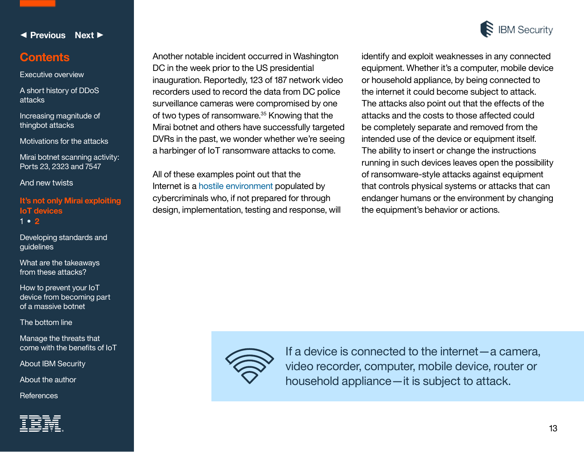

### <span id="page-12-0"></span>**Contents**

[Executive overview](#page-1-0)

[A short history of DDoS](#page-2-0)  attacks

[Increasing magnitude of](#page-4-0)  thingbot attacks

[Motivations for the attacks](#page-6-0)

[Mirai botnet scanning activity:](#page-7-0)  Ports 23, 2323 and 7547

[And new twists](#page-11-0)

**It's not only Mirai exploit IoT devices** [1](#page-11-0) **• 2**

[Developing standards and](#page-13-0)  guidelines

[What are the takeaways](#page-14-0)  from these attacks?

How to prevent your IoT [device from becoming part](#page-15-0)  of a massive botnet

[The bottom line](#page-16-0)

Manage the threats that [come with the benefits of IoT](#page-16-0)

[About IBM Security](#page-16-0)

[About the author](#page-17-0) 

**[References](#page-18-0)** 



**IBM Security** 

that controls physical systems or attacks that can endanger humans or the environment by changing the equipment's behavior or actions.



Another notable incident occurred in Washington

inauguration. Reportedly, 123 of 187 network video recorders used to record the data from DC police surveillance cameras were compromised by one of two types of ransomware.35 Knowing that the Mirai botnet and others have successfully targeted DVRs in the past, we wonder whether we're seeing a harbinger of IoT ransomware attacks to come.

DC in the week prior to the US presidential

All of these examples point out that the

Internet is a [hostile environment](https://www-01.ibm.com/common/ssi/cgi-bin/ssialias?htmlfid=SEF03018USEN) populated by cybercriminals who, if not prepared for through design, implementation, testing and response, will

> If a device is connected to the internet—a camera, video recorder, computer, mobile device, router or household appliance—it is subject to attack.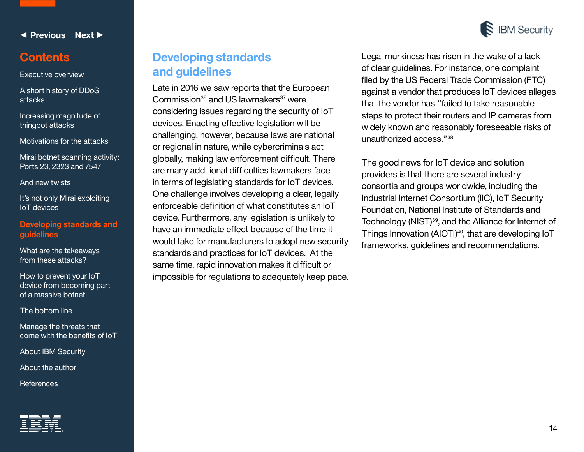

### <span id="page-13-0"></span>**Contents**

[Executive overview](#page-1-0)

[A short history of DDoS](#page-2-0)  attacks

[Increasing magnitude of](#page-4-0)  thingbot attacks

[Motivations for the attacks](#page-6-0)

[Mirai botnet scanning activity:](#page-7-0)  Ports 23, 2323 and 7547

[And new twists](#page-11-0)

It's not only Mirai exploiting IoT devices

**Developing standards and guidelines**

[What are the takeaways](#page-14-0)  from these attacks?

How to prevent your IoT [device from becoming part](#page-15-0)  of a massive botnet

[The bottom line](#page-16-0)

Manage the threats that [come with the benefits of IoT](#page-16-0)

[About IBM Security](#page-16-0)

[About the author](#page-17-0) 

**[References](#page-18-0)** 

# **Developing standards and guidelines**

Late in 2016 we saw reports that the European Commission $36$  and US lawmakers $37$  were considering issues regarding the security of IoT devices. Enacting effective legislation will be challenging, however, because laws are national or regional in nature, while cybercriminals act globally, making law enforcement difficult. There are many additional difficulties lawmakers face in terms of legislating standards for IoT devices. One challenge involves developing a clear, legally enforceable definition of what constitutes an IoT device. Furthermore, any legislation is unlikely to have an immediate effect because of the time it would take for manufacturers to adopt new security standards and practices for IoT devices. At the same time, rapid innovation makes it difficult or impossible for regulations to adequately keep pace. Legal murkiness has risen in the wake of a lack of clear guidelines. For instance, one complaint filed by the US Federal Trade Commission (FTC) against a vendor that produces IoT devices alleges that the vendor has "failed to take reasonable steps to protect their routers and IP cameras from widely known and reasonably foreseeable risks of unauthorized access."<sup>38</sup>

The good news for IoT device and solution providers is that there are several industry consortia and groups worldwide, including the Industrial Internet Consortium (IIC), IoT Security Foundation, National Institute of Standards and Technology (NIST)39, and the Alliance for Internet of Things Innovation (AIOTI)<sup>40</sup>, that are developing IoT frameworks, guidelines and recommendations.

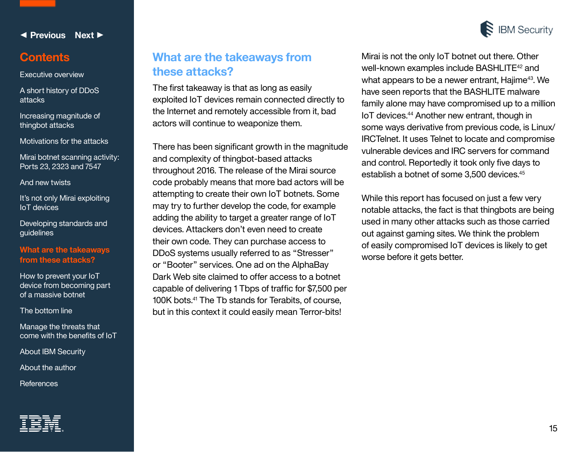

### <span id="page-14-0"></span>**Contents**

[Executive overview](#page-1-0)

[A short history of DDoS](#page-2-0)  attacks

[Increasing magnitude of](#page-4-0)  thingbot attacks

[Motivations for the attacks](#page-6-0)

[Mirai botnet scanning activity:](#page-7-0)  Ports 23, 2323 and 7547

[And new twists](#page-11-0)

It's not only Mirai exploiting IoT devices

[Developing standards and](#page-13-0)  guidelines

#### **What are the takeaways from these attacks?**

How to prevent your IoT [device from becoming part](#page-15-0)  of a massive botnet

[The bottom line](#page-16-0)

Manage the threats that [come with the benefits of IoT](#page-16-0)

[About IBM Security](#page-16-0)

[About the author](#page-17-0) 

**[References](#page-18-0)** 

# **What are the takeaways from these attacks?**

The first takeaway is that as long as easily exploited IoT devices remain connected directly to the Internet and remotely accessible from it, bad actors will continue to weaponize them.

There has been significant growth in the magnitude and complexity of thingbot-based attacks throughout 2016. The release of the Mirai source code probably means that more bad actors will be attempting to create their own IoT botnets. Some may try to further develop the code, for example adding the ability to target a greater range of IoT devices. Attackers don't even need to create their own code. They can purchase access to DDoS systems usually referred to as "Stresser" or "Booter" services. One ad on the AlphaBay Dark Web site claimed to offer access to a botnet capable of delivering 1 Tbps of traffic for \$7,500 per 100K bots.<sup>41</sup> The Tb stands for Terabits, of course, but in this context it could easily mean Terror-bits!

Mirai is not the only IoT botnet out there. Other well-known examples include BASHLITE<sup>42</sup> and what appears to be a newer entrant, Hajime<sup>43</sup>. We have seen reports that the BASHLITE malware family alone may have compromised up to a million IoT devices.44 Another new entrant, though in some ways derivative from previous code, is Linux/ IRCTelnet. It uses Telnet to locate and compromise vulnerable devices and IRC servers for command and control. Reportedly it took only five days to establish a botnet of some 3,500 devices.<sup>45</sup>

While this report has focused on just a few very notable attacks, the fact is that thingbots are being used in many other attacks such as those carried out against gaming sites. We think the problem of easily compromised IoT devices is likely to get worse before it gets better.

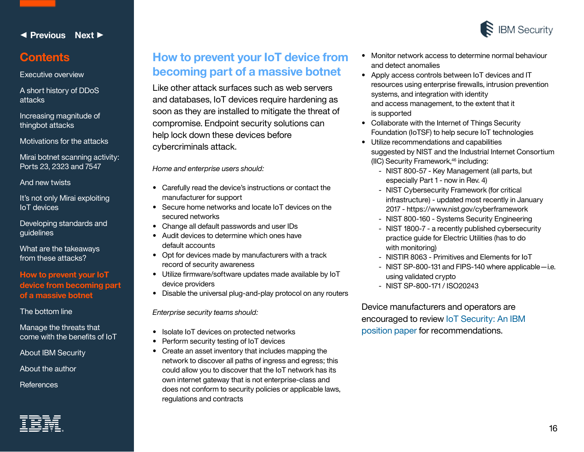

### <span id="page-15-0"></span>**Contents**

[Executive overview](#page-1-0)

[A short history of DDoS](#page-2-0)  attacks

[Increasing magnitude of](#page-4-0)  thingbot attacks

[Motivations for the attacks](#page-6-0)

[Mirai botnet scanning activity:](#page-7-0)  Ports 23, 2323 and 7547

[And new twists](#page-11-0)

It's not only Mirai exploiting IoT devices

[Developing standards and](#page-13-0)  guidelines

[What are the takeaways](#page-14-0)  from these attacks?

**How to prevent your IoT device from becoming part of a massive botnet**

[The bottom line](#page-16-0)

Manage the threats that [come with the benefits of IoT](#page-16-0)

[About IBM Security](#page-16-0)

[About the author](#page-17-0) 

**[References](#page-18-0)** 

# **How to prevent your IoT device from becoming part of a massive botnet**

Like other attack surfaces such as web servers and databases, IoT devices require hardening as soon as they are installed to mitigate the threat of compromise. Endpoint security solutions can help lock down these devices before cybercriminals attack.

*Home and enterprise users should:*

- Carefully read the device's instructions or contact the manufacturer for support
- Secure home networks and locate IoT devices on the secured networks
- Change all default passwords and user IDs
- Audit devices to determine which ones have default accounts
- Opt for devices made by manufacturers with a track record of security awareness
- Utilize firmware/software updates made available by IoT device providers
- Disable the universal plug-and-play protocol on any routers

*Enterprise security teams should:*

- Isolate IoT devices on protected networks
- Perform security testing of IoT devices
- Create an asset inventory that includes mapping the network to discover all paths of ingress and egress; this could allow you to discover that the IoT network has its own internet gateway that is not enterprise-class and does not conform to security policies or applicable laws, regulations and contracts
- Monitor network access to determine normal behaviour and detect anomalies
- Apply access controls between IoT devices and IT resources using enterprise firewalls, intrusion prevention systems, and integration with identity and access management, to the extent that it is supported
- Collaborate with the Internet of Things Security Foundation (IoTSF) to help secure IoT technologies
- Utilize recommendations and capabilities suggested by NIST and the Industrial Internet Consortium (IIC) Security Framework,<sup>46</sup> including:
	- NIST 800-57 Key Management (all parts, but especially Part 1 - now in Rev. 4)
	- NIST Cybersecurity Framework (for critical infrastructure) - updated most recently in January 2017 - https://www.nist.gov/cyberframework
	- NIST 800-160 Systems Security Engineering
	- NIST 1800-7 a recently published cybersecurity practice guide for Electric Utilities (has to do with monitoring)
	- NISTIR 8063 Primitives and Elements for IoT
	- NIST SP-800-131 and FIPS-140 where applicable—i.e. using validated crypto
	- NIST SP-800-171 / ISO20243

Device manufacturers and operators are encouraged to review [IoT Security: An IBM](https://www-01.ibm.com/marketing/iwm/dre/signup?source=mrs-form-9520&S_PKG=ov54480)  [position paper](https://www-01.ibm.com/marketing/iwm/dre/signup?source=mrs-form-9520&S_PKG=ov54480) for recommendations.

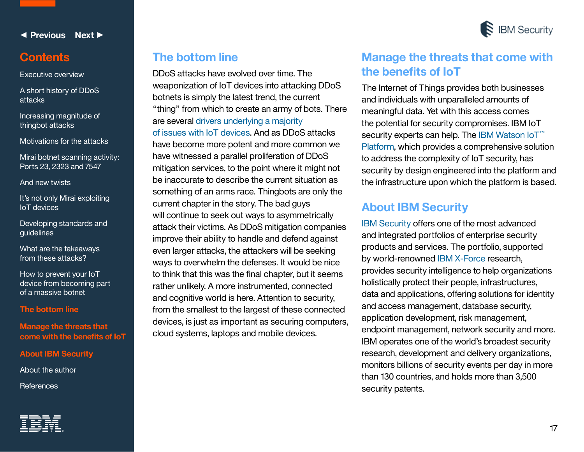<span id="page-16-0"></span>

[Executive overview](#page-1-0)

[A short history of DDoS](#page-2-0) attacks

[Increasing magnitude of](#page-4-0)  thingbot attacks

[Motivations for the attacks](#page-6-0)

[Mirai botnet scanning activity:](#page-7-0)  Ports 23, 2323 and 7547

[And new twists](#page-11-0)

It's not only Mirai exploiting IoT devices

[Developing standards and](#page-13-0)  guidelines

[What are the takeaways](#page-14-0)  from these attacks?

How to prevent your IoT [device from becoming part](#page-15-0)  of a massive botnet

**The bottom line**

**Manage the threats that come with the benefits of IoT**

**About IBM Security**

[About the author](#page-17-0) 

**[References](#page-18-0)** 

# **The bottom line**

DDoS attacks have evolved over time. The weaponization of IoT devices into attacking DDoS botnets is simply the latest trend, the current "thing" from which to create an army of bots. There are several [drivers underlying a majority](https://www-01.ibm.com/common/ssi/cgi-bin/ssialias?htmlfid=SEF03018USEN)  [of issues with IoT devices.](https://www-01.ibm.com/common/ssi/cgi-bin/ssialias?htmlfid=SEF03018USEN) And as DDoS attacks have become more potent and more common we have witnessed a parallel proliferation of DDoS mitigation services, to the point where it might not be inaccurate to describe the current situation as something of an arms race. Thingbots are only the current chapter in the story. The bad guys will continue to seek out ways to asymmetrically attack their victims. As DDoS mitigation companies improve their ability to handle and defend against even larger attacks, the attackers will be seeking ways to overwhelm the defenses. It would be nice to think that this was the final chapter, but it seems rather unlikely. A more instrumented, connected and cognitive world is here. Attention to security, from the smallest to the largest of these connected devices, is just as important as securing computers, cloud systems, laptops and mobile devices.



# **Manage the threats that come with the benefits of IoT**

The Internet of Things provides both businesses and individuals with unparalleled amounts of meaningful data. Yet with this access comes the potential for security compromises. IBM IoT security experts can help. The [IBM Watson IoT](https://www.ibm.com/internet-of-things/platform/iot-security/)<sup>™</sup> [Platform](https://www.ibm.com/internet-of-things/platform/iot-security/), which provides a comprehensive solution to address the complexity of IoT security, has security by design engineered into the platform and the infrastructure upon which the platform is based.

# **About IBM Security**

[IBM Security](http://www.ibm.com/security/) offers one of the most advanced and integrated portfolios of enterprise security products and services. The portfolio, supported by world-renowned [IBM X-Force](http://www.ibm.com/security/xforce/) research, provides security intelligence to help organizations holistically protect their people, infrastructures, data and applications, offering solutions for identity and access management, database security, application development, risk management, endpoint management, network security and more. IBM operates one of the world's broadest security research, development and delivery organizations, monitors billions of security events per day in more than 130 countries, and holds more than 3,500 security patents.

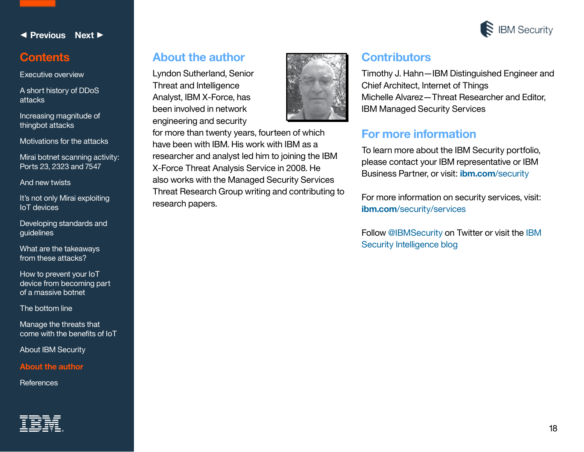

# <span id="page-17-0"></span>**Contents**

[Executive overview](#page-1-0)

[A short history of DDoS](#page-2-0)  attacks

[Increasing magnitude of](#page-4-0)  thingbot attacks

[Motivations for the attacks](#page-6-0)

[Mirai botnet scanning activity:](#page-7-0)  Ports 23, 2323 and 7547

[And new twists](#page-11-0)

It's not only Mirai exploiting IoT devices

[Developing standards and](#page-13-0)  guidelines

[What are the takeaways](#page-14-0)  from these attacks?

How to prevent your IoT [device from becoming part](#page-15-0)  of a massive botnet

[The bottom line](#page-16-0)

Manage the threats that [come with the benefits of IoT](#page-16-0)

[About IBM Security](#page-16-0)

**About the author** 

**[References](#page-18-0)** 



# **About the author**

Lyndon Sutherland, Senior Threat and Intelligence Analyst, IBM X-Force, has been involved in network engineering and security



for more than twenty years, fourteen of which have been with IBM. His work with IBM as a researcher and analyst led him to joining the IBM X-Force Threat Analysis Service in 2008. He also works with the Managed Security Services Threat Research Group writing and contributing to research papers.

# **Contributors**

Timothy J. Hahn—IBM Distinguished Engineer and Chief Architect, Internet of Things Michelle Alvarez—Threat Researcher and Editor, IBM Managed Security Services

# **For more information**

To learn more about the IBM Security portfolio, please contact your IBM representative or IBM Business Partner, or visit: **[ibm.com](http://ibm.com/security)**/security

For more information on security services, visit: **ibm.com**[/security/services](http://ibm.com/security/services)

Follow [@IBMSecurity](http://twitter.com/@IBMSecurity) on Twitter or visit the [IBM](https://securityintelligence.com/)  [Security Intelligence blog](https://securityintelligence.com/)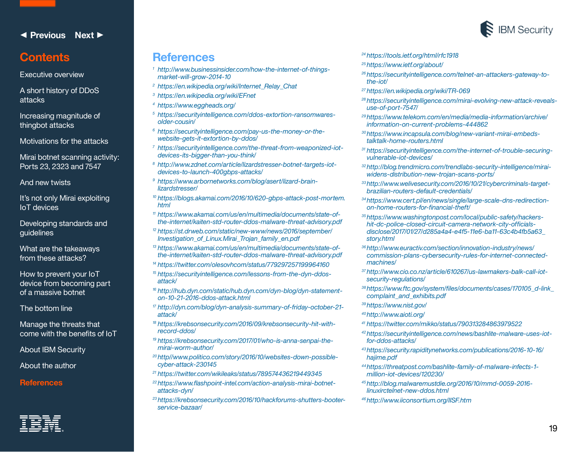# <span id="page-18-0"></span>**Contents**

[Executive overview](#page-1-0)

[A short history of DDoS](#page-2-0)  attacks

[Increasing magnitude of](#page-4-0)  thingbot attacks

[Motivations for the attacks](#page-6-0)

[Mirai botnet scanning activity:](#page-7-0)  Ports 23, 2323 and 7547

[And new twists](#page-11-0)

It's not only Mirai exploiting IoT devices

[Developing standards and](#page-13-0)  guidelines

[What are the takeaways](#page-14-0)  from these attacks?

How to prevent your IoT [device from becoming part](#page-15-0)  of a massive botnet

[The bottom line](#page-16-0)

Manage the threats that [come with the benefits of IoT](#page-16-0)

[About IBM Security](#page-16-0)

[About the author](#page-17-0) 

**References**

### **References**

- *<sup>1</sup> http://www.businessinsider.com/how-the-internet-of-thingsmarket-will-grow-2014-10*
- *<sup>2</sup> https://en.wikipedia.org/wiki/Internet\_Relay\_Chat*
- *<sup>3</sup> https://en.wikipedia.org/wiki/EFnet*
- *<sup>4</sup> https://www.eggheads.org/*
- *<sup>5</sup> https://securityintelligence.com/ddos-extortion-ransomwaresolder-cousin/*
- *<sup>6</sup> https://securityintelligence.com/pay-us-the-money-or-thewebsite-gets-it-extortion-by-ddos/*
- *<sup>7</sup> https://securityintelligence.com/the-threat-from-weaponized-iotdevices-its-bigger-than-you-think/*
- *<sup>8</sup> http://www.zdnet.com/article/lizardstresser-botnet-targets-iotdevices-to-launch-400gbps-attacks/*
- *<sup>9</sup> https://www.arbornetworks.com/blog/asert/lizard-brainlizardstresser/*
- *<sup>10</sup> https://blogs.akamai.com/2016/10/620-gbps-attack-post-mortem. html*
- *<sup>11</sup> https://www.akamai.com/us/en/multimedia/documents/state-ofthe-internet/kaiten-std-router-ddos-malware-threat-advisory.pdf*
- *<sup>12</sup> [https://st.drweb.com/static/new-www/news/2016/september/](https://st.drweb.com/static/new-www/news/2016/september/Investigation_of_Linux.Mirai_Trojan_family_en.pdf) [Investigation\\_of\\_Linux.Mirai\\_Trojan\\_family\\_en.pdf](https://st.drweb.com/static/new-www/news/2016/september/Investigation_of_Linux.Mirai_Trojan_family_en.pdf)*
- *<sup>13</sup> https://www.akamai.com/us/en/multimedia/documents/state-ofthe-internet/kaiten-std-router-ddos-malware-threat-advisory.pdf*
- *<sup>14</sup> https://twitter.com/olesovhcom/status/779297257199964160*
- *<sup>15</sup> https://securityintelligence.com/lessons-from-the-dyn-ddosattack/*
- *<sup>16</sup> http://hub.dyn.com/static/hub.dyn.com/dyn-blog/dyn-statementon-10-21-2016-ddos-attack.html*
- *<sup>17</sup> http://dyn.com/blog/dyn-analysis-summary-of-friday-october-21 attack/*
- *<sup>18</sup> https://krebsonsecurity.com/2016/09/krebsonsecurity-hit-withrecord-ddos/*
- *<sup>19</sup> https://krebsonsecurity.com/2017/01/who-is-anna-senpai-themirai-worm-author/*
- *<sup>20</sup> http//www.politico.com/story/2016/10/websites-down-possiblecyber-attack-230145*
- *<sup>21</sup> https://twitter.com/wikileaks/status/789574436219449345*
- *<sup>22</sup> https://www.flashpoint-intel.com/action-analysis-mirai-botnetattacks-dyn/*
- *<sup>23</sup> https://krebsonsecurity.com/2016/10/hackforums-shutters-booterservice-bazaar/*

#### *<sup>24</sup> https://tools.ietf.org/html/rfc1918*

- *<sup>25</sup> https://www.ietf.org/about/*
- *<sup>26</sup> https://securityintelligence.com/telnet-an-attackers-gateway-tothe-iot/*
- *<sup>27</sup> https://en.wikipedia.org/wiki/TR-069*
- *<sup>28</sup> https://securityintelligence.com/mirai-evolving-new-attack-revealsuse-of-port-7547/*
- *<sup>29</sup> [https://www.telekom.com/en/media/media-information/archive/](https://www.telekom.com/en/media/media-information/archive/information-on-current-problems-444862) [information-on-current-problems-444862](https://www.telekom.com/en/media/media-information/archive/information-on-current-problems-444862)*
- *<sup>30</sup> https://www.incapsula.com/blog/new-variant-mirai-embedstalktalk-home-routers.html*
- *<sup>31</sup> https://securityintelligence.com/the-internet-of-trouble-securingvulnerable-iot-devices/*
- *<sup>32</sup> http://blog.trendmicro.com/trendlabs-security-intelligence/miraiwidens-distribution-new-trojan-scans-ports/*
- *<sup>33</sup> http://www.welivesecurity.com/2016/10/21/cybercriminals-targetbrazilian-routers-default-credentials/*
- *<sup>34</sup> https://www.cert.pl/en/news/single/large-scale-dns-redirectionon-home-routers-for-financial-theft/*
- *35https://www.washingtonpost.com/local/public-safety/hackershit-dc-police-closed-circuit-camera-network-city-officialsdisclose/2017/01/27/d285a4a4-e4f5-11e6-ba11-63c4b4fb5a63\_ story.html*
- *<sup>36</sup> http://www.euractiv.com/section/innovation-industry/news/ commission-plans-cybersecurity-rules-for-internet-connectedmachines/*
- *<sup>37</sup> http://www.cio.co.nz/article/610267/us-lawmakers-balk-call-iotsecurity-regulations/*
- *<sup>38</sup> [https://www.ftc.gov/system/files/documents/cases/170105\\_d-link\\_](https://www.ftc.gov/system/files/documents/cases/170105_d-link_complaint_and_exhibits.pdf) [complaint\\_and\\_exhibits.pd](https://www.ftc.gov/system/files/documents/cases/170105_d-link_complaint_and_exhibits.pdf)f*
- *<sup>39</sup> https://www.nist.gov/*
- *<sup>40</sup> http://www.aioti.org/*
- *<sup>41</sup> https://twitter.com/mikko/status/790313284863979522*
- *<sup>42</sup> https://securityintelligence.com/news/bashlite-malware-uses-iotfor-ddos-attacks/*
- *<sup>43</sup> https://security.rapiditynetworks.com/publications/2016-10-16/ hajime.pdf*
- *<sup>44</sup> https://threatpost.com/bashlite-family-of-malware-infects-1 million-iot-devices/120230/*
- *45http://blog.malwaremustdie.org/2016/10/mmd-0059-2016 linuxirctelnet-new-ddos.html*
- *<sup>46</sup> http://www.iiconsortium.org/IISF.htm*